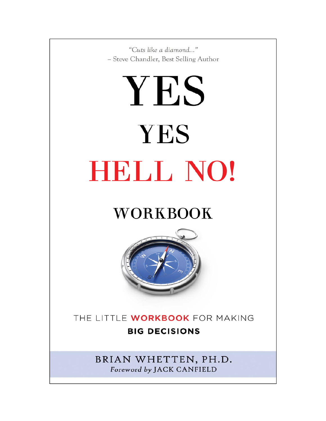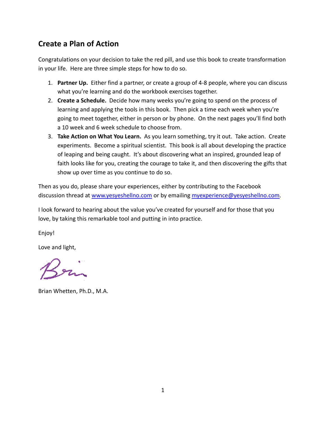#### **Create a Plan of Action**

Congratulations on your decision to take the red pill, and use this book to create transformation in your life. Here are three simple steps for how to do so.

- 1. **Partner Up.** Either find a partner, or create a group of 4‐8 people, where you can discuss what you're learning and do the workbook exercises together.
- 2. **Create a Schedule.** Decide how many weeks you're going to spend on the process of learning and applying the tools in this book. Then pick a time each week when you're going to meet together, either in person or by phone. On the next pages you'll find both a 10 week and 6 week schedule to choose from.
- 3. **Take Action on What You Learn.** As you learn something, try it out. Take action. Create experiments. Become a spiritual scientist. This book is all about developing the practice of leaping and being caught. It's about discovering what an inspired, grounded leap of faith looks like for you, creating the courage to take it, and then discovering the gifts that show up over time as you continue to do so.

Then as you do, please share your experiences, either by contributing to the Facebook discussion thread at www.yesyeshellno.com or by emailing myexperience@yesyeshellno.com.

I look forward to hearing about the value you've created for yourself and for those that you love, by taking this remarkable tool and putting in into practice.

Enjoy!

Love and light,

San

Brian Whetten, Ph.D., M.A.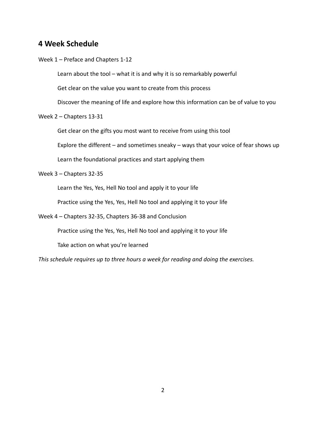#### **4 Week Schedule**

Week 1 – Preface and Chapters 1‐12

Learn about the tool – what it is and why it is so remarkably powerful

Get clear on the value you want to create from this process

Discover the meaning of life and explore how this information can be of value to you

Week 2 – Chapters 13‐31

Get clear on the gifts you most want to receive from using this tool

Explore the different – and sometimes sneaky – ways that your voice of fear shows up

Learn the foundational practices and start applying them

Week 3 – Chapters 32‐35

Learn the Yes, Yes, Hell No tool and apply it to your life

Practice using the Yes, Yes, Hell No tool and applying it to your life

Week 4 – Chapters 32‐35, Chapters 36‐38 and Conclusion

Practice using the Yes, Yes, Hell No tool and applying it to your life

Take action on what you're learned

*This schedule requires up to three hours a week for reading and doing the exercises.*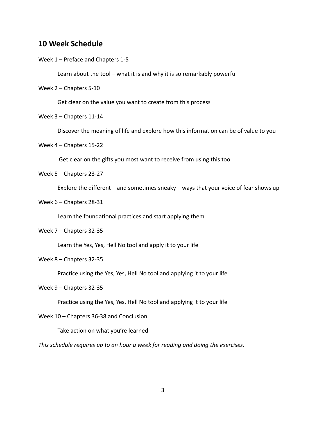#### **10 Week Schedule**

Week 1 – Preface and Chapters 1‐5

Learn about the tool – what it is and why it is so remarkably powerful

Week 2 – Chapters 5‐10

Get clear on the value you want to create from this process

Week 3 – Chapters 11‐14

Discover the meaning of life and explore how this information can be of value to you

Week 4 – Chapters 15‐22

Get clear on the gifts you most want to receive from using this tool

Week 5 – Chapters 23‐27

Explore the different – and sometimes sneaky – ways that your voice of fear shows up

Week 6 – Chapters 28-31

Learn the foundational practices and start applying them

Week 7 – Chapters 32‐35

Learn the Yes, Yes, Hell No tool and apply it to your life

Week 8 – Chapters 32‐35

Practice using the Yes, Yes, Hell No tool and applying it to your life

Week 9 – Chapters 32‐35

Practice using the Yes, Yes, Hell No tool and applying it to your life

Week 10 – Chapters 36-38 and Conclusion

Take action on what you're learned

*This schedule requires up to an hour a week for reading and doing the exercises.*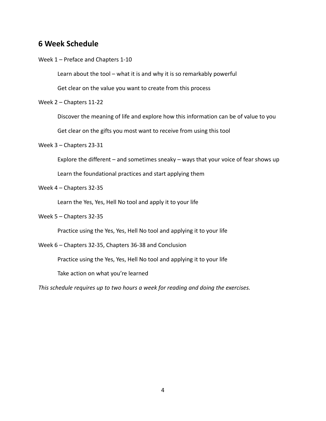#### **6 Week Schedule**

Week 1 – Preface and Chapters 1‐10

Learn about the tool – what it is and why it is so remarkably powerful

Get clear on the value you want to create from this process

Week 2 – Chapters 11‐22

Discover the meaning of life and explore how this information can be of value to you

Get clear on the gifts you most want to receive from using this tool

Week 3 – Chapters 23‐31

Explore the different – and sometimes sneaky – ways that your voice of fear shows up

Learn the foundational practices and start applying them

Week 4 – Chapters 32‐35

Learn the Yes, Yes, Hell No tool and apply it to your life

Week 5 – Chapters 32‐35

Practice using the Yes, Yes, Hell No tool and applying it to your life

Week 6 – Chapters 32‐35, Chapters 36‐38 and Conclusion

Practice using the Yes, Yes, Hell No tool and applying it to your life

Take action on what you're learned

*This schedule requires up to two hours a week for reading and doing the exercises.*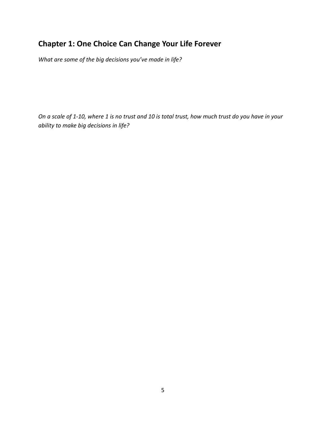## **Chapter 1: One Choice Can Change Your Life Forever**

*What are some of the big decisions you've made in life?* 

On a scale of 1-10, where 1 is no trust and 10 is total trust, how much trust do you have in your *ability to make big decisions in life?*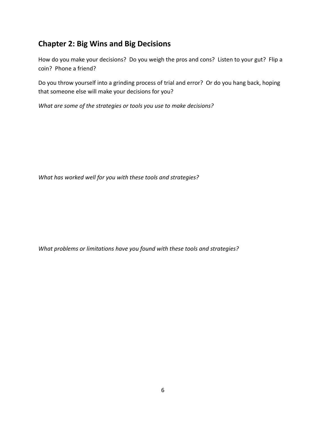## **Chapter 2: Big Wins and Big Decisions**

How do you make your decisions? Do you weigh the pros and cons? Listen to your gut? Flip a coin? Phone a friend?

Do you throw yourself into a grinding process of trial and error? Or do you hang back, hoping that someone else will make your decisions for you?

*What are some of the strategies or tools you use to make decisions?* 

*What has worked well for you with these tools and strategies?*

*What problems or limitations have you found with these tools and strategies?*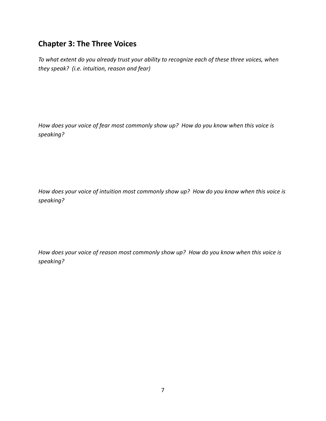#### **Chapter 3: The Three Voices**

*To what extent do you already trust your ability to recognize each of these three voices, when they speak? (i.e. intuition, reason and fear)*

*How does your voice of fear most commonly show up? How do you know when this voice is speaking?*

*How does your voice of intuition most commonly show up? How do you know when this voice is speaking?*

*How does your voice of reason most commonly show up? How do you know when this voice is speaking?*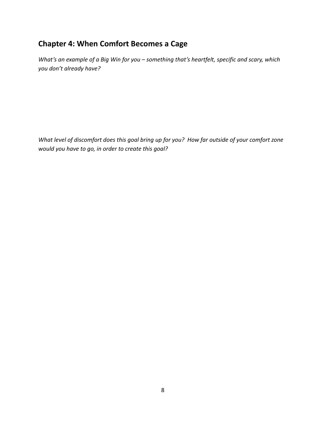## **Chapter 4: When Comfort Becomes a Cage**

*What's an example of a Big Win for you – something that's heartfelt, specific and scary, which you don't already have?*

What level of discomfort does this goal bring up for you? How far outside of your comfort zone *would you have to go, in order to create this goal?*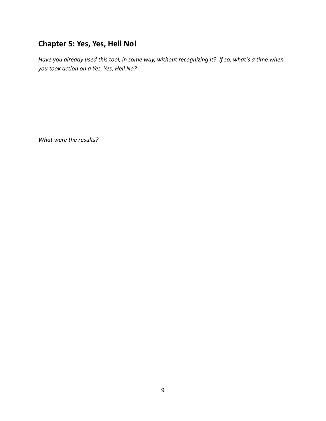## **Chapter 5: Yes, Yes, Hell No!**

Have you already used this tool, in some way, without recognizing it? If so, what's a time when *you took action on a Yes, Yes, Hell No?*

*What were the results?*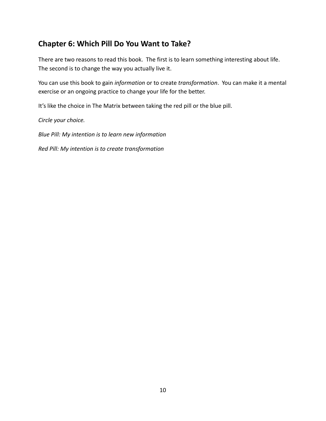#### **Chapter 6: Which Pill Do You Want to Take?**

There are two reasons to read this book. The first is to learn something interesting about life. The second is to change the way you actually live it.

You can use this book to gain *information* or to create *transformation*. You can make it a mental exercise or an ongoing practice to change your life for the better.

It's like the choice in The Matrix between taking the red pill or the blue pill.

*Circle your choice.*

*Blue Pill: My intention is to learn new information*

*Red Pill: My intention is to create transformation*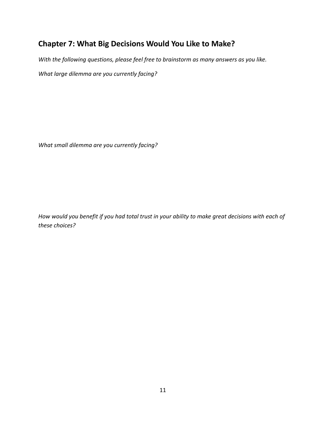## **Chapter 7: What Big Decisions Would You Like to Make?**

*With the following questions, please feel free to brainstorm as many answers as you like. What large dilemma are you currently facing?*

*What small dilemma are you currently facing?*

How would you benefit if you had total trust in your ability to make great decisions with each of *these choices?*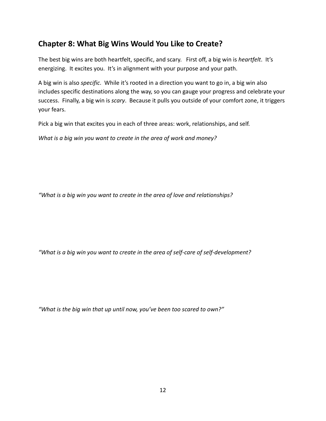#### **Chapter 8: What Big Wins Would You Like to Create?**

The best big wins are both heartfelt, specific, and scary. First off, a big win is *heartfelt*. It's energizing. It excites you. It's in alignment with your purpose and your path.

A big win is also *specific*. While it's rooted in a direction you want to go in, a big win also includes specific destinations along the way, so you can gauge your progress and celebrate your success. Finally, a big win is *scary*. Because it pulls you outside of your comfort zone, it triggers your fears.

Pick a big win that excites you in each of three areas: work, relationships, and self.

*What is a big win you want to create in the area of work and money?*

*"What is a big win you want to create in the area of love and relationships?*

*"What is a big win you want to create in the area of self‐care of self‐development?*

*"What is the big win that up until now, you've been too scared to own?"*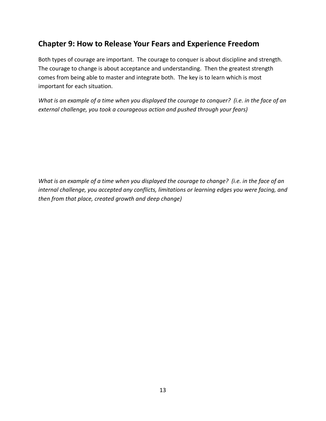#### **Chapter 9: How to Release Your Fears and Experience Freedom**

Both types of courage are important. The courage to conquer is about discipline and strength. The courage to change is about acceptance and understanding. Then the greatest strength comes from being able to master and integrate both. The key is to learn which is most important for each situation.

What is an example of a time when you displayed the courage to conquer? (i.e. in the face of an *external challenge, you took a courageous action and pushed through your fears)* 

What is an example of a time when you displayed the courage to change? (i.e. in the face of an *internal challenge, you accepted any conflicts, limitations or learning edges you were facing, and then from that place, created growth and deep change)*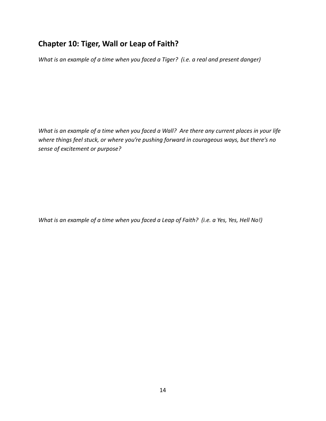## **Chapter 10: Tiger, Wall or Leap of Faith?**

What is an example of a time when you faced a Tiger? (i.e. a real and present danger)

What is an example of a time when you faced a Wall? Are there any current places in your life *where things feel stuck, or where you're pushing forward in courageous ways, but there's no sense of excitement or purpose?*

What is an example of a time when you faced a Leap of Faith? (i.e. a Yes, Yes, Hell No!)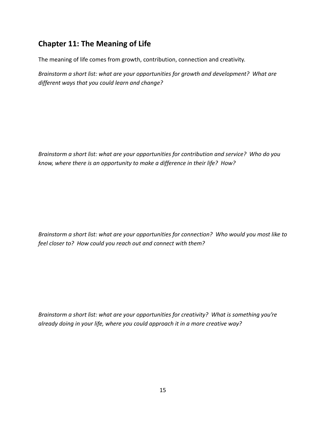## **Chapter 11: The Meaning of Life**

The meaning of life comes from growth, contribution, connection and creativity.

*Brainstorm a short list: what are your opportunities for growth and development? What are different ways that you could learn and change?*

*Brainstorm a short list: what are your opportunities for contribution and service? Who do you know, where there is an opportunity to make a difference in their life? How?*

*Brainstorm a short list: what are your opportunities for connection? Who would you most like to feel closer to? How could you reach out and connect with them?*

*Brainstorm a short list: what are your opportunities for creativity? What is something you're already doing in your life, where you could approach it in a more creative way?*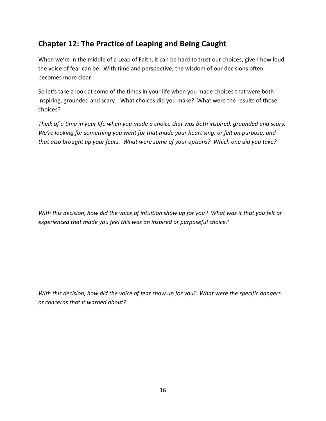## **Chapter 12: The Practice of Leaping and Being Caught**

When we're in the middle of a Leap of Faith, it can be hard to trust our choices, given how loud the voice of fear can be. With time and perspective, the wisdom of our decisions often becomes more clear.

So let's take a look at some of the times in your life when you made choices that were both inspiring, grounded and scary. What choices did you make? What were the results of those choices?

Think of a time in your life when you made a choice that was both inspired, grounded and scary. *We're looking for something you went for that made your heart sing, or felt on purpose, and that also brought up your fears. What were some of your options? Which one did you take?*

With this decision, how did the voice of intuition show up for you? What was it that you felt or *experienced that made you feel this was an inspired or purposeful choice?*

With this decision, how did the voice of fear show up for you? What were the specific dangers *or concerns that it warned about?*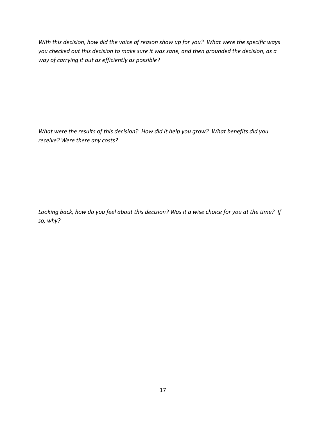With this decision, how did the voice of reason show up for you? What were the specific ways *you checked out this decision to make sure it was sane, and then grounded the decision, as a way of carrying it out as efficiently as possible?*

*What were the results of this decision? How did it help you grow? What benefits did you receive? Were there any costs?*

Looking back, how do you feel about this decision? Was it a wise choice for you at the time? If *so, why?*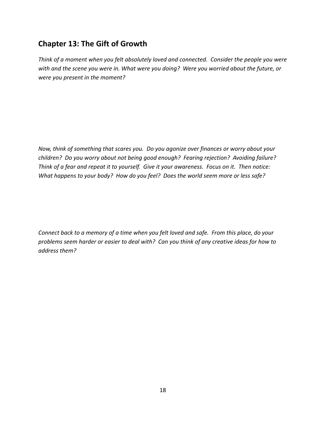## **Chapter 13: The Gift of Growth**

*Think of a moment when you felt absolutely loved and connected. Consider the people you were with and the scene you were in. What were you doing? Were you worried about the future, or were you present in the moment?*

*Now, think of something that scares you. Do you agonize over finances or worry about your children? Do you worry about not being good enough? Fearing rejection? Avoiding failure?*  Think of a fear and repeat it to yourself. Give it your awareness. Focus on it. Then notice: What happens to your body? How do you feel? Does the world seem more or less safe?

Connect back to a memory of a time when you felt loved and safe. From this place, do your problems seem harder or easier to deal with? Can you think of any creative ideas for how to *address them?*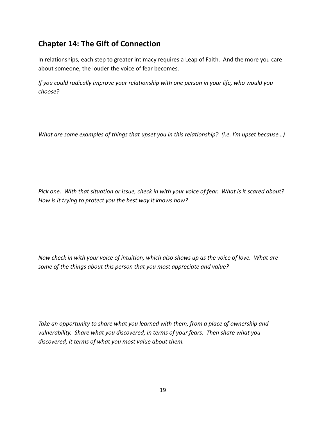## **Chapter 14: The Gift of Connection**

In relationships, each step to greater intimacy requires a Leap of Faith. And the more you care about someone, the louder the voice of fear becomes.

*If you could radically improve your relationship with one person in your life, who would you choose?* 

*What are some examples of things that upset you in this relationship? (i.e. I'm upset because…)*

Pick one. With that situation or issue, check in with your voice of fear. What is it scared about? *How is it trying to protect you the best way it knows how?*

Now check in with your voice of intuition, which also shows up as the voice of love. What are *some of the things about this person that you most appreciate and value?* 

*Take an opportunity to share what you learned with them, from a place of ownership and vulnerability. Share what you discovered, in terms of your fears. Then share what you discovered, it terms of what you most value about them.*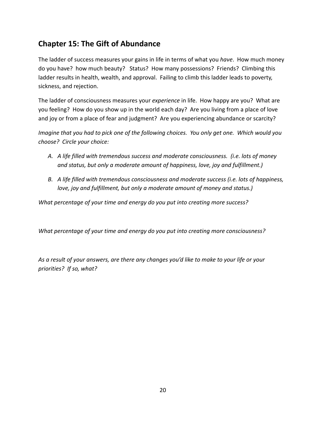## **Chapter 15: The Gift of Abundance**

The ladder of success measures your gains in life in terms of what you *have*. How much money do you have? how much beauty? Status? How many possessions? Friends? Climbing this ladder results in health, wealth, and approval. Failing to climb this ladder leads to poverty, sickness, and rejection.

The ladder of consciousness measures your *experience* in life. How happy are you? What are you feeling? How do you show up in the world each day? Are you living from a place of love and joy or from a place of fear and judgment? Are you experiencing abundance or scarcity?

Imagine that you had to pick one of the following choices. You only get one. Which would you *choose? Circle your choice:*

- *A. A life filled with tremendous success and moderate consciousness. (i.e. lots of money and status, but only a moderate amount of happiness, love, joy and fulfillment.)*
- *B. A life filled with tremendous consciousness and moderate success (i.e. lots of happiness, love, joy and fulfillment, but only a moderate amount of money and status.)*

*What percentage of your time and energy do you put into creating more success?*

*What percentage of your time and energy do you put into creating more consciousness?*

*As a result of your answers, are there any changes you'd like to make to your life or your priorities? If so, what?*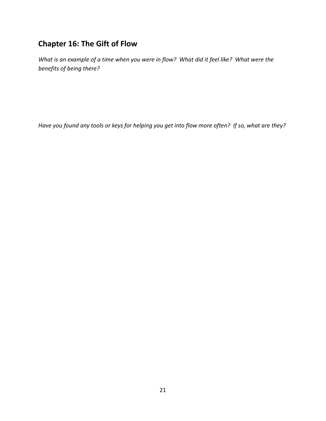## **Chapter 16: The Gift of Flow**

What is an example of a time when you were in flow? What did it feel like? What were the *benefits of being there?*

Have you found any tools or keys for helping you get into flow more often? If so, what are they?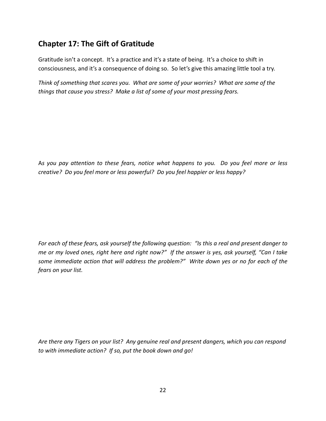## **Chapter 17: The Gift of Gratitude**

Gratitude isn't a concept. It's a practice and it's a state of being. It's a choice to shift in consciousness, and it's a consequence of doing so. So let's give this amazing little tool a try.

*Think of something that scares you. What are some of your worries? What are some of the things that cause you stress? Make a list of some of your most pressing fears.*

As you pay attention to these fears, notice what happens to you. Do you feel more or less *creative? Do you feel more or less powerful? Do you feel happier or less happy?*

For each of these fears, ask yourself the following question: "Is this a real and present danger to me or my loved ones, right here and right now?" If the answer is yes, ask yourself, "Can I take *some immediate action that will address the problem?" Write down yes or no for each of the fears on your list.*

*Are there any Tigers on your list? Any genuine real and present dangers, which you can respond to with immediate action? If so, put the book down and go!*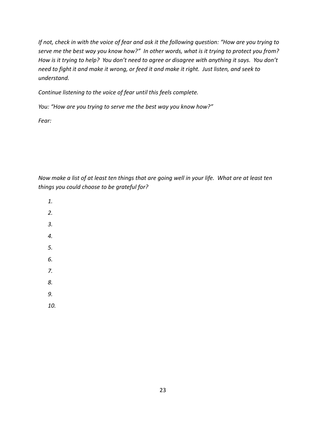If not, check in with the voice of fear and ask it the following question: "How are you trying to serve me the best way you know how?" In other words, what is it trying to protect you from? How is it trying to help? You don't need to agree or disagree with anything it says. You don't need to fight it and make it wrong, or feed it and make it right. Just listen, and seek to *understand.* 

*Continue listening to the voice of fear until this feels complete.* 

*You: "How are you trying to serve me the best way you know how?"*

*Fear:* 

Now make a list of at least ten things that are going well in your life. What are at least ten *things you could choose to be grateful for?*

- *1.*
- 
- *2.*
- *3.*
- *4.*
- *5.*
- *6.*
- *7.*
- 
- *8.*
- *9.*
- *10.*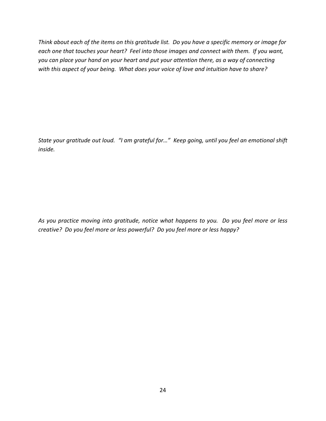Think about each of the items on this gratitude list. Do you have a specific memory or image for each one that touches your heart? Feel into those images and connect with them. If you want, *you can place your hand on your heart and put your attention there, as a way of connecting* with this aspect of your being. What does your voice of love and intuition have to share?

State your gratitude out loud. "I am grateful for..." Keep going, until you feel an emotional shift *inside.*

*As you practice moving into gratitude, notice what happens to you. Do you feel more or less creative? Do you feel more or less powerful? Do you feel more or less happy?*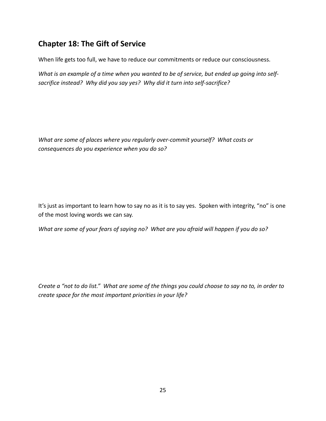## **Chapter 18: The Gift of Service**

When life gets too full, we have to reduce our commitments or reduce our consciousness.

What is an example of a time when you wanted to be of service, but ended up going into self*sacrifice instead? Why did you say yes? Why did it turn into self‐sacrifice?*

*What are some of places where you regularly over‐commit yourself? What costs or consequences do you experience when you do so?*

It's just as important to learn how to say no as it is to say yes. Spoken with integrity, "no" is one of the most loving words we can say.

What are some of your fears of saying no? What are you afraid will happen if you do so?

Create a "not to do list." What are some of the things you could choose to say no to, in order to *create space for the most important priorities in your life?*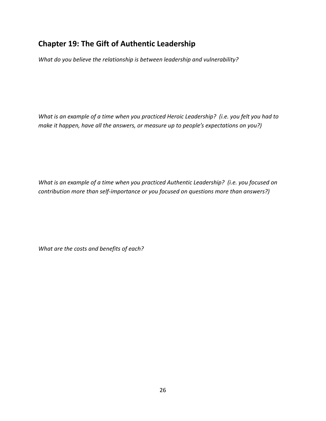## **Chapter 19: The Gift of Authentic Leadership**

*What do you believe the relationship is between leadership and vulnerability?*

What is an example of a time when you practiced Heroic Leadership? (i.e. you felt you had to *make it happen, have all the answers, or measure up to people's expectations on you?)*

*What is an example of a time when you practiced Authentic Leadership? (i.e. you focused on contribution more than self‐importance or you focused on questions more than answers?)*

*What are the costs and benefits of each?*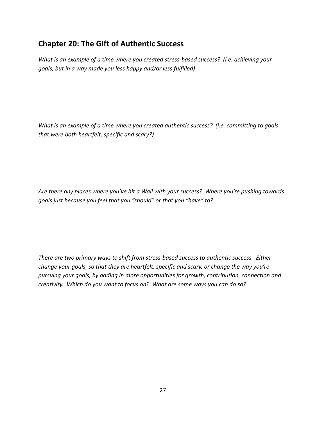#### **Chapter 20: The Gift of Authentic Success**

*What is an example of a time where you created stress‐based success? (i.e. achieving your goals, but in a way made you less happy and/or less fulfilled)*

*What is an example of a time where you created authentic success? (i.e. committing to goals that were both heartfelt, specific and scary?)*

*Are there any places where you've hit a Wall with your success? Where you're pushing towards goals just because you feel that you "should" or that you "have" to?*

*There are two primary ways to shift from stress‐based success to authentic success. Either change your goals, so that they are heartfelt, specific and scary, or change the way you're pursuing your goals, by adding in more opportunities for growth, contribution, connection and creativity. Which do you want to focus on? What are some ways you can do so?*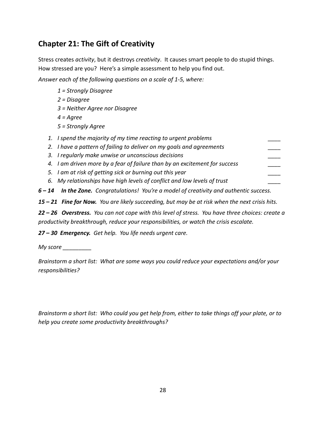## **Chapter 21: The Gift of Creativity**

Stress creates *activity*, but it destroys *creativity*. It causes smart people to do stupid things. How stressed are you? Here's a simple assessment to help you find out.

*Answer each of the following questions on a scale of 1‐5, where:*

- *1 = Strongly Disagree*
- *2 = Disagree*
- *3 = Neither Agree nor Disagree*
- *4 = Agree*
- *5 = Strongly Agree*
- *1. I spend the majority of my time reacting to urgent problems \_\_\_\_*
- *2. I have a pattern of failing to deliver on my goals and agreements \_\_\_\_*
- *3. I regularly make unwise or unconscious decisions \_\_\_\_*
- *4. I am driven more by a fear of failure than by an excitement for success \_\_\_\_*
- *5. I am at risk of getting sick or burning out this year \_\_\_\_*
- *6. My relationships have high levels of conflict and low levels of trust \_\_\_\_*

*6 – 14 In the Zone. Congratulations! You're a model of creativity and authentic success.*

15 - 21 Fine for Now. You are likely succeeding, but may be at risk when the next crisis hits.

22 - 26 Overstress. You can not cope with this level of stress. You have three choices: create a *productivity breakthrough, reduce your responsibilities, or watch the crisis escalate.*

*27 – 30 Emergency. Get help. You life needs urgent care.*

*My score \_\_\_\_\_\_\_\_\_*

*Brainstorm a short list: What are some ways you could reduce your expectations and/or your responsibilities?*

Brainstorm a short list: Who could you get help from, either to take things off your plate, or to *help you create some productivity breakthroughs?*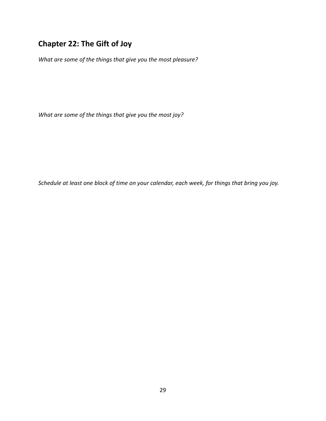# **Chapter 22: The Gift of Joy**

*What are some of the things that give you the most pleasure?*

*What are some of the things that give you the most joy?*

Schedule at least one block of time on your calendar, each week, for things that bring you joy.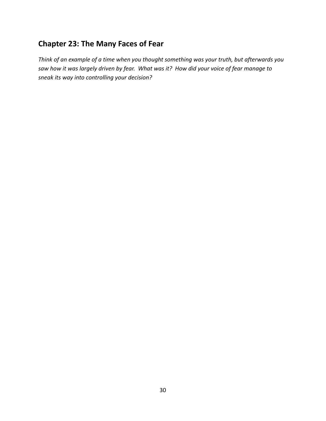## **Chapter 23: The Many Faces of Fear**

*Think of an example of a time when you thought something was your truth, but afterwards you* saw how it was largely driven by fear. What was it? How did your voice of fear manage to *sneak its way into controlling your decision?*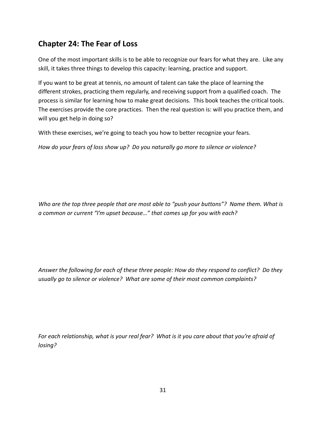## **Chapter 24: The Fear of Loss**

One of the most important skills is to be able to recognize our fears for what they are. Like any skill, it takes three things to develop this capacity: learning, practice and support.

If you want to be great at tennis, no amount of talent can take the place of learning the different strokes, practicing them regularly, and receiving support from a qualified coach. The process is similar for learning how to make great decisions. This book teaches the critical tools. The exercises provide the core practices. Then the real question is: will you practice them, and will you get help in doing so?

With these exercises, we're going to teach you how to better recognize your fears.

*How do your fears of loss show up? Do you naturally go more to silence or violence?* 

*Who are the top three people that are most able to "push your buttons"? Name them. What is a common or current "I'm upset because…" that comes up for you with each?*

*Answer the following for each of these three people: How do they respond to conflict? Do they usually go to silence or violence? What are some of their most common complaints?* 

For each relationship, what is your real fear? What is it you care about that you're afraid of *losing?*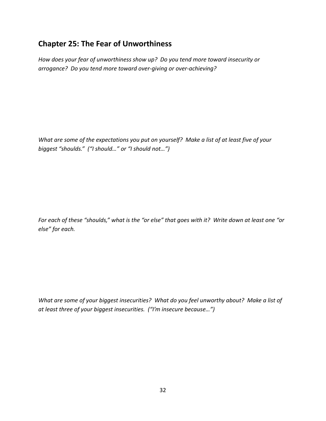#### **Chapter 25: The Fear of Unworthiness**

*How does your fear of unworthiness show up? Do you tend more toward insecurity or arrogance? Do you tend more toward over‐giving or over‐achieving?* 

What are some of the expectations you put on yourself? Make a list of at least five of your *biggest "shoulds." ("I should…" or "I should not…")*

For each of these "shoulds," what is the "or else" that goes with it? Write down at least one "or *else" for each.*

What are some of your biggest insecurities? What do you feel unworthy about? Make a list of *at least three of your biggest insecurities. ("I'm insecure because…")*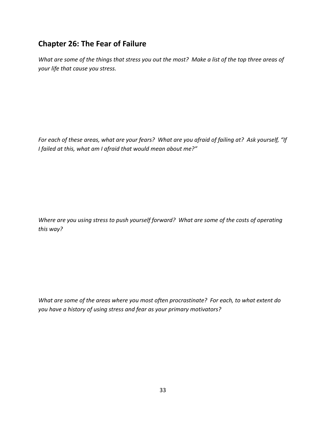## **Chapter 26: The Fear of Failure**

What are some of the things that stress you out the most? Make a list of the top three areas of *your life that cause you stress.*

For each of these areas, what are your fears? What are you afraid of failing at? Ask yourself, "If *I failed at this, what am I afraid that would mean about me?"*

*Where are you using stress to push yourself forward? What are some of the costs of operating this way?*

*What are some of the areas where you most often procrastinate? For each, to what extent do you have a history of using stress and fear as your primary motivators?*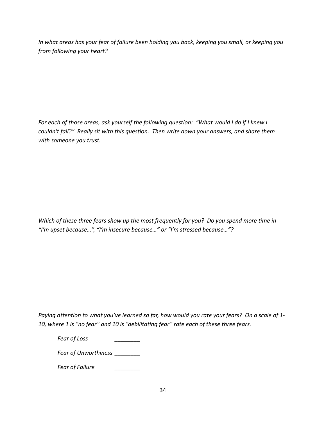*In what areas has your fear of failure been holding you back, keeping you small, or keeping you from following your heart?*

*For each of those areas, ask yourself the following question: "What would I do if I knew I couldn't fail?" Really sit with this question. Then write down your answers, and share them with someone you trust.*

*Which of these three fears show up the most frequently for you? Do you spend more time in "I'm upset because…", "I'm insecure because…" or "I'm stressed because…"?* 

Paying attention to what you've learned so far, how would you rate your fears? On a scale of 1-*10, where 1 is "no fear" and 10 is "debilitating fear" rate each of these three fears.*

*Fear of Loss \_\_\_\_\_\_\_\_*

*Fear of Unworthiness \_\_\_\_\_\_\_\_*

*Fear of Failure \_\_\_\_\_\_\_\_*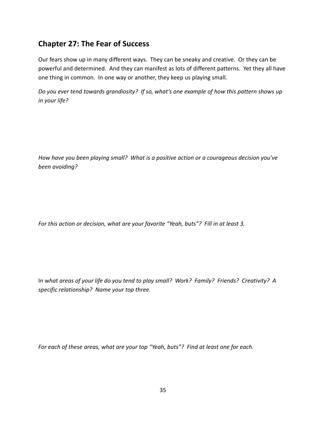#### **Chapter 27: The Fear of Success**

Our fears show up in many different ways. They can be sneaky and creative. Or they can be powerful and determined. And they can manifest as lots of different patterns. Yet they all have one thing in common. In one way or another, they keep us playing small.

*Do you ever tend towards grandiosity? If so, what's one example of how this pattern shows up in your life?*

*How have you been playing small? What is a positive action or a courageous decision you've been avoiding?*

*For this action or decision, what are your favorite "Yeah, buts"? Fill in at least 3.* 

In what areas of your life do you tend to play small? Work? Family? Friends? Creativity? A *specific relationship? Name your top three.*

*For each of these areas, what are your top "Yeah, buts"? Find at least one for each.*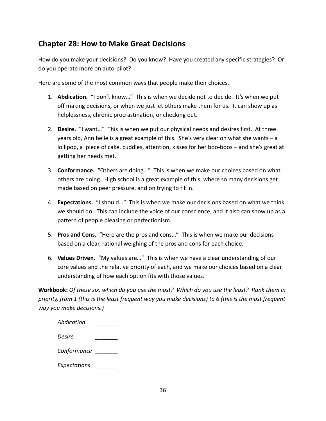#### **Chapter 28: How to Make Great Decisions**

How do you make your decisions? Do you know? Have you created any specific strategies? Or do you operate more on auto‐pilot?

Here are some of the most common ways that people make their choices.

- 1. **Abdication.** "I don't know…" This is when we decide not to decide. It's when we put off making decisions, or when we just let others make them for us. It can show up as helplessness, chronic procrastination, or checking out.
- 2. **Desire.** "I want…" This is when we put our physical needs and desires first. At three years old, Annibelle is a great example of this. She's very clear on what she wants – a lollipop, a piece of cake, cuddles, attention, kisses for her boo-boos – and she's great at getting her needs met.
- 3. **Conformance.** "Others are doing…" This is when we make our choices based on what others are doing. High school is a great example of this, where so many decisions get made based on peer pressure, and on trying to fit in.
- 4. **Expectations.** "I should…" This is when we make our decisions based on what we think we should do. This can include the voice of our conscience, and it also can show up as a pattern of people pleasing or perfectionism.
- 5. **Pros and Cons.** "Here are the pros and cons…" This is when we make our decisions based on a clear, rational weighing of the pros and cons for each choice.
- 6. **Values Driven.** "My values are…" This is when we have a clear understanding of our core values and the relative priority of each, and we make our choices based on a clear understanding of how each option fits with those values.

Workbook: Of these six, which do you use the most? Which do you use the least? Rank them in priority, from 1 (this is the least frequent way you make decisions) to 6 (this is the most frequent *way you make decisions.)* 

| Abdication   |  |
|--------------|--|
| Desire       |  |
| Conformance  |  |
| Expectations |  |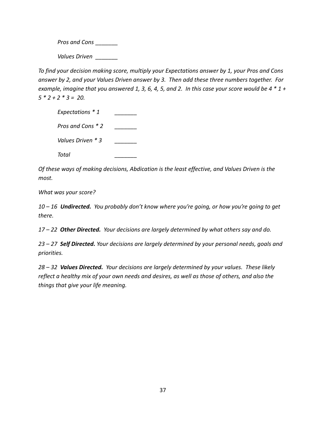*Pros and Cons \_\_\_\_\_\_\_*

*Values Driven \_\_\_\_\_\_\_*

*To find your decision making score, multiply your Expectations answer by 1, your Pros and Cons* answer by 2, and your Values Driven answer by 3. Then add these three numbers together. For example, imagine that you answered 1, 3, 6, 4, 5, and 2. In this case your score would be  $4 * 1 +$  $5 * 2 + 2 * 3 = 20.$ 

| Expectations * 1  |  |
|-------------------|--|
| Pros and Cons * 2 |  |
| Values Driven * 3 |  |
| Total             |  |

*Of these ways of making decisions, Abdication is the least effective, and Values Driven is the most.* 

*What was your score?*

10 - 16 **Undirected.** You probably don't know where you're going, or how you're going to get *there.*

*17 – 22 Other Directed. Your decisions are largely determined by what others say and do.*

*23 – 27 Self Directed. Your decisions are largely determined by your personal needs, goals and priorities.* 

*28 – 32 Values Directed. Your decisions are largely determined by your values. These likely* reflect a healthy mix of your own needs and desires, as well as those of others, and also the *things that give your life meaning.*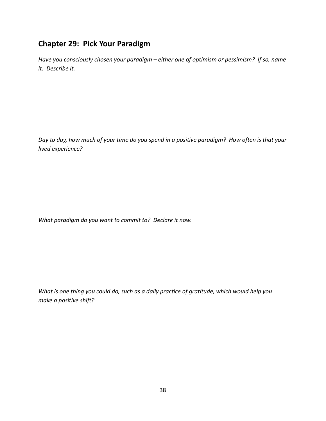## **Chapter 29: Pick Your Paradigm**

*Have you consciously chosen your paradigm – either one of optimism or pessimism? If so, name it. Describe it.*

Day to day, how much of your time do you spend in a positive paradigm? How often is that your *lived experience?*

*What paradigm do you want to commit to? Declare it now.*

*What is one thing you could do, such as a daily practice of gratitude, which would help you make a positive shift?*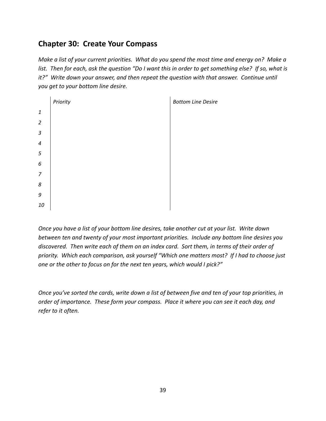## **Chapter 30: Create Your Compass**

Make a list of your current priorities. What do you spend the most time and energy on? Make a list. Then for each, ask the question "Do I want this in order to get something else? If so, what is *it?" Write down your answer, and then repeat the question with that answer. Continue until you get to your bottom line desire.* 

|                  | Priority | <b>Bottom Line Desire</b> |
|------------------|----------|---------------------------|
| $\it 1$          |          |                           |
| $\overline{2}$   |          |                           |
| $\mathfrak{Z}$   |          |                           |
| $\sqrt{4}$       |          |                           |
| $\sqrt{5}$       |          |                           |
| $\boldsymbol{6}$ |          |                           |
| $\overline{7}$   |          |                           |
| $\boldsymbol{8}$ |          |                           |
| $\boldsymbol{g}$ |          |                           |
| 10               |          |                           |

Once you have a list of your bottom line desires, take another cut at your list. Write down *between ten and twenty of your most important priorities. Include any bottom line desires you* discovered. Then write each of them on an index card. Sort them, in terms of their order of *priority. Which each comparison, ask yourself "Which one matters most? If I had to choose just one or the other to focus on for the next ten years, which would I pick?"*

Once you've sorted the cards, write down a list of between five and ten of your top priorities, in *order of importance. These form your compass. Place it where you can see it each day, and refer to it often.*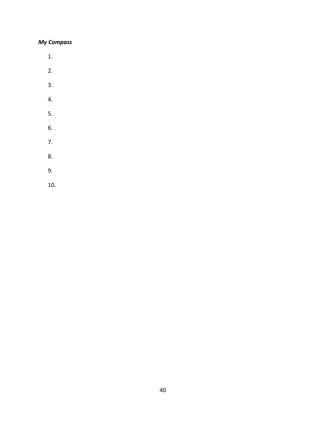#### *My Compass*

- 1.
- 2.
- 3.
- 4.
- 
- 5.
- 6.
- 7.
- 8.
- 9.
- 10.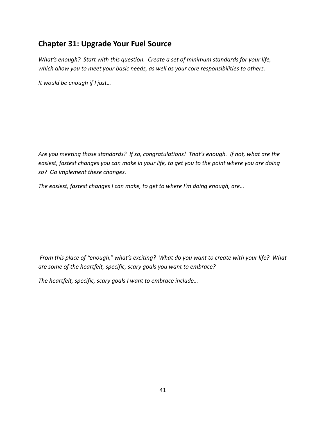#### **Chapter 31: Upgrade Your Fuel Source**

*What's enough? Start with this question. Create a set of minimum standards for your life, which allow you to meet your basic needs, as well as your core responsibilities to others.*

*It would be enough if I just…*

*Are you meeting those standards? If so, congratulations! That's enough. If not, what are the* easiest, fastest changes you can make in your life, to get you to the point where you are doing *so? Go implement these changes.* 

*The easiest, fastest changes I can make, to get to where I'm doing enough, are…*

From this place of "enough," what's exciting? What do you want to create with your life? What *are some of the heartfelt, specific, scary goals you want to embrace?* 

*The heartfelt, specific, scary goals I want to embrace include…*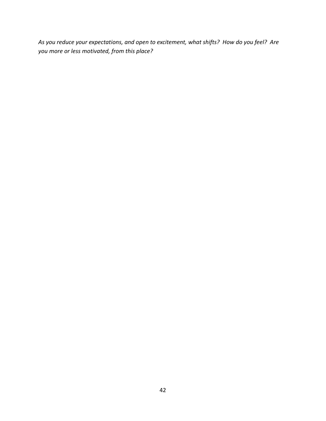*As you reduce your expectations, and open to excitement, what shifts? How do you feel? Are you more or less motivated, from this place?*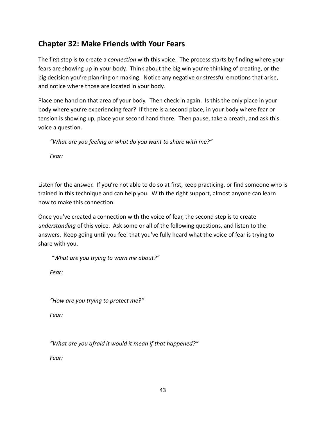#### **Chapter 32: Make Friends with Your Fears**

The first step is to create a *connection* with this voice. The process starts by finding where your fears are showing up in your body. Think about the big win you're thinking of creating, or the big decision you're planning on making. Notice any negative or stressful emotions that arise, and notice where those are located in your body.

Place one hand on that area of your body. Then check in again. Is this the only place in your body where you're experiencing fear? If there is a second place, in your body where fear or tension is showing up, place your second hand there. Then pause, take a breath, and ask this voice a question.

*"What are you feeling or what do you want to share with me?"*

*Fear:*

Listen for the answer. If you're not able to do so at first, keep practicing, or find someone who is trained in this technique and can help you. With the right support, almost anyone can learn how to make this connection.

Once you've created a connection with the voice of fear, the second step is to create *understanding* of this voice. Ask some or all of the following questions, and listen to the answers. Keep going until you feel that you've fully heard what the voice of fear is trying to share with you.

*"What are you trying to warn me about?"*

*Fear:*

*"How are you trying to protect me?"*

*Fear:*

*"What are you afraid it would it mean if that happened?"* 

*Fear:*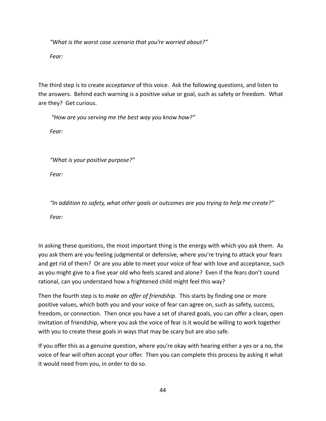*"What is the worst case scenario that you're worried about?"*

*Fear:*

The third step is to create *acceptance* of this voice. Ask the following questions, and listen to the answers. Behind each warning is a positive value or goal, such as safety or freedom. What are they? Get curious.

*"How are you serving me the best way you know how?"*

*Fear:*

*"What is your positive purpose?"*

*Fear:*

*"In addition to safety, what other goals or outcomes are you trying to help me create?" Fear:*

In asking these questions, the most important thing is the energy with which you ask them. As you ask them are you feeling judgmental or defensive, where you're trying to attack your fears and get rid of them? Or are you able to meet your voice of fear with love and acceptance, such as you might give to a five year old who feels scared and alone? Even if the fears don't sound rational, can you understand how a frightened child might feel this way?

Then the fourth step is to *make an offer of friendship*. This starts by finding one or more positive values, which both you and your voice of fear can agree on, such as safety, success, freedom, or connection. Then once you have a set of shared goals, you can offer a clean, open invitation of friendship, where you ask the voice of fear is it would be willing to work together with you to create these goals in ways that may be scary but are also safe.

If you offer this as a genuine question, where you're okay with hearing either a yes or a no, the voice of fear will often accept your offer. Then you can complete this process by asking it what it would need from you, in order to do so.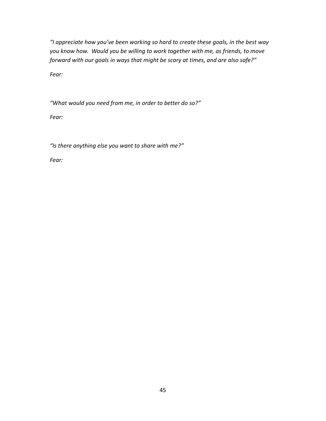*"I appreciate how you've been working so hard to create these goals, in the best way you know how. Would you be willing to work together with me, as friends, to move forward with our goals in ways that might be scary at times, and are also safe?"*

*Fear:*

*"What would you need from me, in order to better do so?"*

*Fear:*

*"Is there anything else you want to share with me?"*

*Fear:*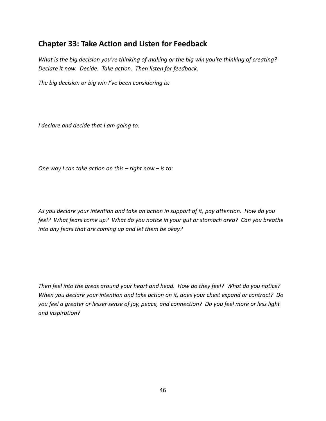#### **Chapter 33: Take Action and Listen for Feedback**

*What is the big decision you're thinking of making or the big win you're thinking of creating? Declare it now. Decide. Take action. Then listen for feedback.*

*The big decision or big win I've been considering is:*

*I declare and decide that I am going to:* 

*One way I can take action on this – right now – is to:*

As you declare your intention and take an action in support of it, pay attention. How do you feel? What fears come up? What do you notice in your gut or stomach area? Can you breathe *into any fears that are coming up and let them be okay?* 

Then feel into the areas around your heart and head. How do they feel? What do you notice? *When you declare your intention and take action on it, does your chest expand or contract? Do* you feel a greater or lesser sense of joy, peace, and connection? Do you feel more or less light *and inspiration?*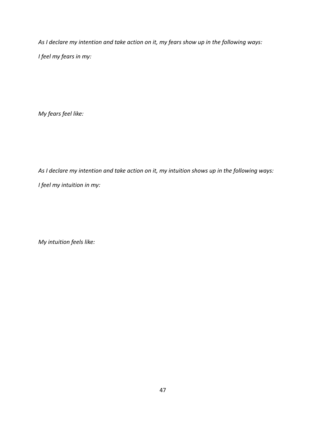*As I declare my intention and take action on it, my fears show up in the following ways: I feel my fears in my:*

*My fears feel like:*

*As I declare my intention and take action on it, my intuition shows up in the following ways:*

*I feel my intuition in my:*

*My intuition feels like:*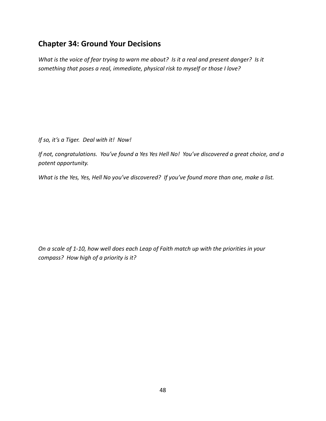#### **Chapter 34: Ground Your Decisions**

What is the voice of fear trying to warn me about? Is it a real and present danger? Is it *something that poses a real, immediate, physical risk to myself or those I love?* 

*If so, it's a Tiger. Deal with it! Now!* 

If not, congratulations. You've found a Yes Yes Hell No! You've discovered a great choice, and a *potent opportunity.*

What is the Yes, Yes, Hell No you've discovered? If you've found more than one, make a list.

On a scale of 1-10, how well does each Leap of Faith match up with the priorities in your *compass? How high of a priority is it?*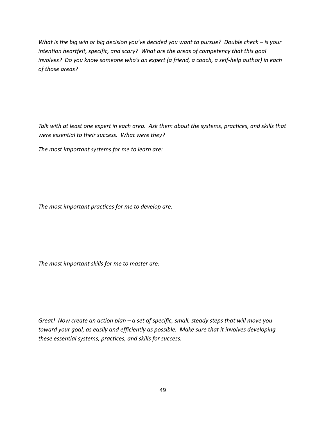What is the big win or big decision you've decided you want to pursue? Double check - is your *intention heartfelt, specific, and scary? What are the areas of competency that this goal* involves? Do you know someone who's an expert (a friend, a coach, a self-help author) in each *of those areas?* 

Talk with at least one expert in each area. Ask them about the systems, practices, and skills that *were essential to their success. What were they?*

*The most important systems for me to learn are:*

*The most important practices for me to develop are:*

*The most important skills for me to master are:*

Great! Now create an action plan - a set of specific, small, steady steps that will move you *toward your goal, as easily and efficiently as possible. Make sure that it involves developing these essential systems, practices, and skills for success.*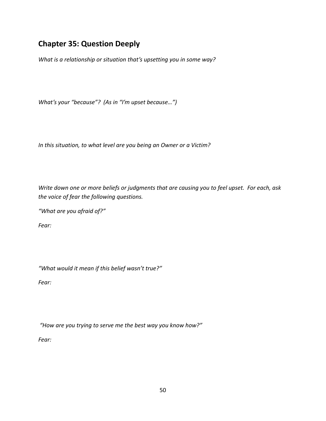## **Chapter 35: Question Deeply**

*What is a relationship or situation that's upsetting you in some way?* 

*What's your "because"? (As in "I'm upset because…")* 

*In this situation, to what level are you being an Owner or a Victim?* 

Write down one or more beliefs or judgments that are causing you to feel upset. For each, ask *the voice of fear the following questions.* 

*"What are you afraid of?"* 

*Fear:*

*"What would it mean if this belief wasn't true?"*

*Fear:* 

*"How are you trying to serve me the best way you know how?"*

*Fear:*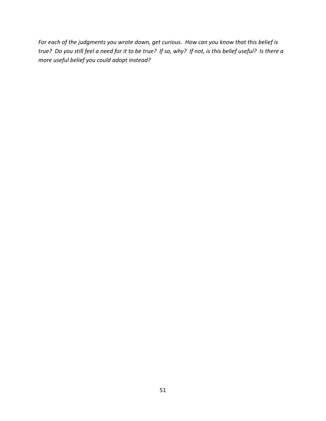For each of the judgments you wrote down, get curious. How can you know that this belief is true? Do you still feel a need for it to be true? If so, why? If not, is this belief useful? Is there a *more useful belief you could adopt instead?*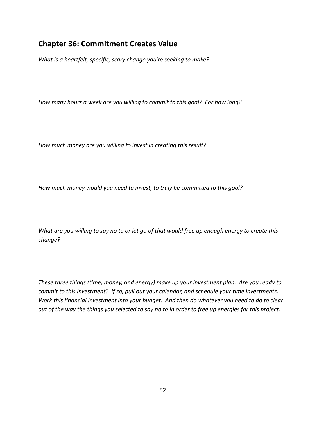#### **Chapter 36: Commitment Creates Value**

*What is a heartfelt, specific, scary change you're seeking to make?* 

*How many hours a week are you willing to commit to this goal? For how long?* 

*How much money are you willing to invest in creating this result?*

*How much money would you need to invest, to truly be committed to this goal?*

What are you willing to say no to or let go of that would free up enough energy to create this *change?*

*These three things (time, money, and energy) make up your investment plan. Are you ready to commit to this investment? If so, pull out your calendar, and schedule your time investments. Work this financial investment into your budget. And then do whatever you need to do to clear* out of the way the things you selected to say no to in order to free up energies for this project.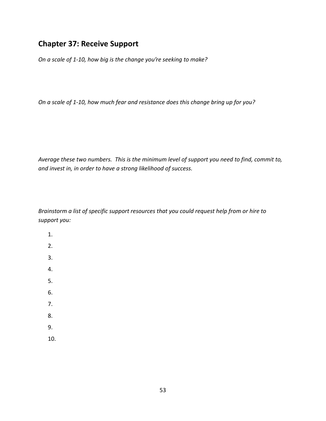#### **Chapter 37: Receive Support**

*On a scale of 1‐10, how big is the change you're seeking to make?* 

*On a scale of 1‐10, how much fear and resistance does this change bring up for you?*

*Average these two numbers. This is the minimum level of support you need to find, commit to, and invest in, in order to have a strong likelihood of success.*

*Brainstorm a list of specific support resources that you could request help from or hire to support you:*

- 1. 2. 3. 4. 5. 6. 7. 8. 9.
- 10.